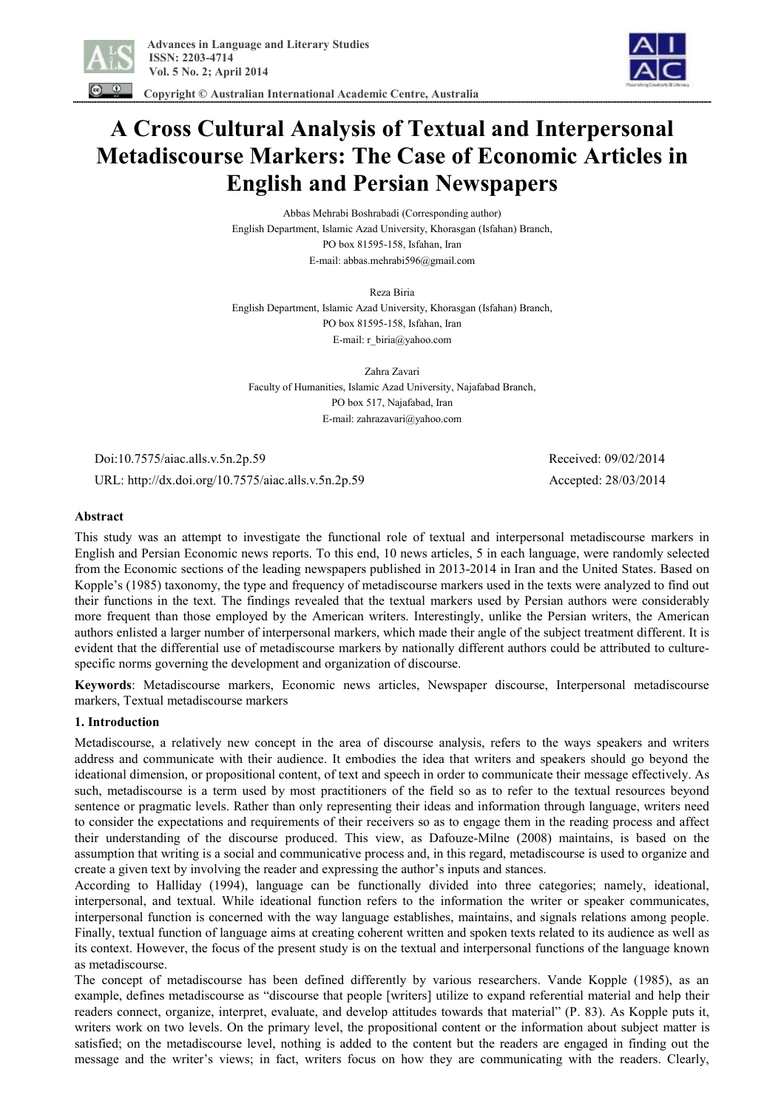

 **Copyright © Australian International Academic Centre, Australia** 

# **A Cross Cultural Analysis of Textual and Interpersonal Metadiscourse Markers: The Case of Economic Articles in English and Persian Newspapers**

Abbas Mehrabi Boshrabadi (Corresponding author) English Department, Islamic Azad University, Khorasgan (Isfahan) Branch, PO box 81595-158, Isfahan, Iran E-mail: abbas.mehrabi596@gmail.com

Reza Biria English Department, Islamic Azad University, Khorasgan (Isfahan) Branch, PO box 81595-158, Isfahan, Iran E-mail: r\_biria@yahoo.com

Zahra Zavari Faculty of Humanities, Islamic Azad University, Najafabad Branch, PO box 517, Najafabad, Iran E-mail: zahrazavari@yahoo.com

 Doi:10.7575/aiac.alls.v.5n.2p.59 Received: 09/02/2014 URL: http://dx.doi.org/10.7575/aiac.alls.v.5n.2p.59 Accepted: 28/03/2014

# **Abstract**

This study was an attempt to investigate the functional role of textual and interpersonal metadiscourse markers in English and Persian Economic news reports. To this end, 10 news articles, 5 in each language, were randomly selected from the Economic sections of the leading newspapers published in 2013-2014 in Iran and the United States. Based on Kopple's (1985) taxonomy, the type and frequency of metadiscourse markers used in the texts were analyzed to find out their functions in the text. The findings revealed that the textual markers used by Persian authors were considerably more frequent than those employed by the American writers. Interestingly, unlike the Persian writers, the American authors enlisted a larger number of interpersonal markers, which made their angle of the subject treatment different. It is evident that the differential use of metadiscourse markers by nationally different authors could be attributed to culturespecific norms governing the development and organization of discourse.

**Keywords**: Metadiscourse markers, Economic news articles, Newspaper discourse, Interpersonal metadiscourse markers, Textual metadiscourse markers

# **1. Introduction**

Metadiscourse, a relatively new concept in the area of discourse analysis, refers to the ways speakers and writers address and communicate with their audience. It embodies the idea that writers and speakers should go beyond the ideational dimension, or propositional content, of text and speech in order to communicate their message effectively. As such, metadiscourse is a term used by most practitioners of the field so as to refer to the textual resources beyond sentence or pragmatic levels. Rather than only representing their ideas and information through language, writers need to consider the expectations and requirements of their receivers so as to engage them in the reading process and affect their understanding of the discourse produced. This view, as Dafouze-Milne (2008) maintains, is based on the assumption that writing is a social and communicative process and, in this regard, metadiscourse is used to organize and create a given text by involving the reader and expressing the author's inputs and stances.

According to Halliday (1994), language can be functionally divided into three categories; namely, ideational, interpersonal, and textual. While ideational function refers to the information the writer or speaker communicates, interpersonal function is concerned with the way language establishes, maintains, and signals relations among people. Finally, textual function of language aims at creating coherent written and spoken texts related to its audience as well as its context. However, the focus of the present study is on the textual and interpersonal functions of the language known as metadiscourse.

The concept of metadiscourse has been defined differently by various researchers. Vande Kopple (1985), as an example, defines metadiscourse as "discourse that people [writers] utilize to expand referential material and help their readers connect, organize, interpret, evaluate, and develop attitudes towards that material" (P. 83). As Kopple puts it, writers work on two levels. On the primary level, the propositional content or the information about subject matter is satisfied; on the metadiscourse level, nothing is added to the content but the readers are engaged in finding out the message and the writer's views; in fact, writers focus on how they are communicating with the readers. Clearly,

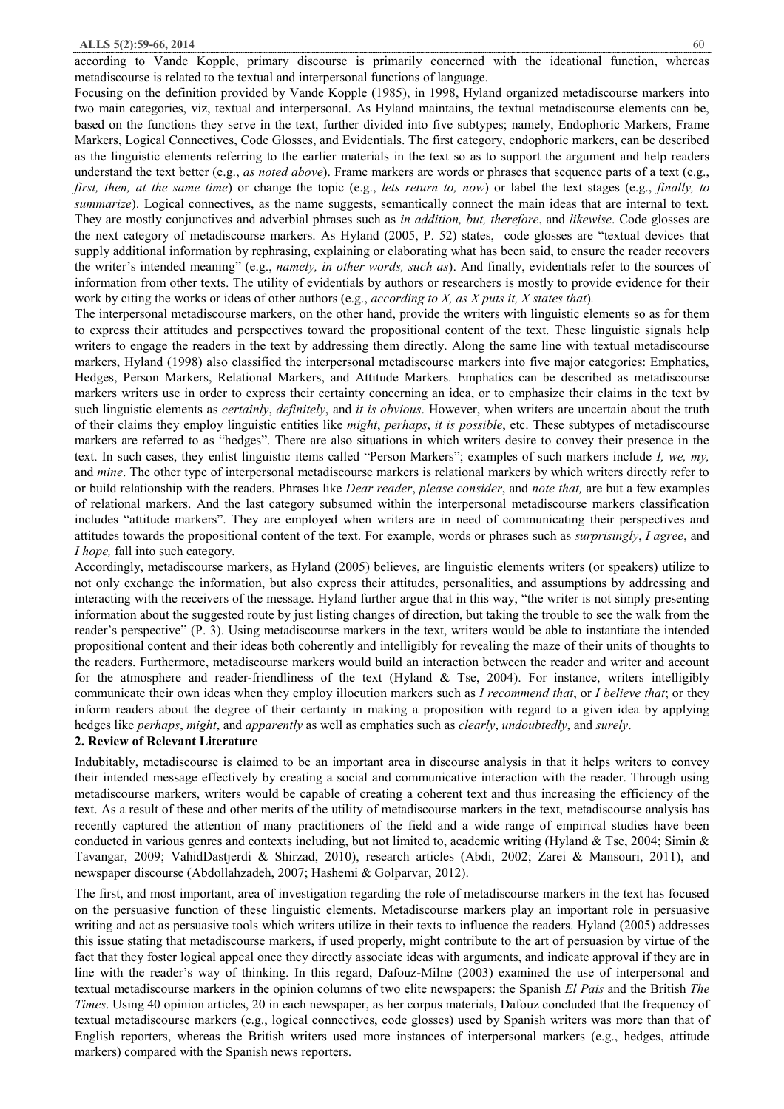according to Vande Kopple, primary discourse is primarily concerned with the ideational function, whereas metadiscourse is related to the textual and interpersonal functions of language.

Focusing on the definition provided by Vande Kopple (1985), in 1998, Hyland organized metadiscourse markers into two main categories, viz, textual and interpersonal. As Hyland maintains, the textual metadiscourse elements can be, based on the functions they serve in the text, further divided into five subtypes; namely, Endophoric Markers, Frame Markers, Logical Connectives, Code Glosses, and Evidentials. The first category, endophoric markers, can be described as the linguistic elements referring to the earlier materials in the text so as to support the argument and help readers understand the text better (e.g., *as noted above*). Frame markers are words or phrases that sequence parts of a text (e.g., *first, then, at the same time*) or change the topic (e.g., *lets return to, now*) or label the text stages (e.g., *finally, to summarize*). Logical connectives, as the name suggests, semantically connect the main ideas that are internal to text. They are mostly conjunctives and adverbial phrases such as *in addition, but, therefore*, and *likewise*. Code glosses are the next category of metadiscourse markers. As Hyland (2005, P. 52) states, code glosses are "textual devices that supply additional information by rephrasing, explaining or elaborating what has been said, to ensure the reader recovers the writer's intended meaning" (e.g., *namely, in other words, such as*). And finally, evidentials refer to the sources of information from other texts. The utility of evidentials by authors or researchers is mostly to provide evidence for their work by citing the works or ideas of other authors (e.g., *according to X, as X puts it, X states that*)*.* 

The interpersonal metadiscourse markers, on the other hand, provide the writers with linguistic elements so as for them to express their attitudes and perspectives toward the propositional content of the text. These linguistic signals help writers to engage the readers in the text by addressing them directly. Along the same line with textual metadiscourse markers, Hyland (1998) also classified the interpersonal metadiscourse markers into five major categories: Emphatics, Hedges, Person Markers, Relational Markers, and Attitude Markers. Emphatics can be described as metadiscourse markers writers use in order to express their certainty concerning an idea, or to emphasize their claims in the text by such linguistic elements as *certainly*, *definitely*, and *it is obvious*. However, when writers are uncertain about the truth of their claims they employ linguistic entities like *might*, *perhaps*, *it is possible*, etc. These subtypes of metadiscourse markers are referred to as "hedges". There are also situations in which writers desire to convey their presence in the text. In such cases, they enlist linguistic items called "Person Markers"; examples of such markers include *I, we, my,* and *mine*. The other type of interpersonal metadiscourse markers is relational markers by which writers directly refer to or build relationship with the readers. Phrases like *Dear reader*, *please consider*, and *note that,* are but a few examples of relational markers. And the last category subsumed within the interpersonal metadiscourse markers classification includes "attitude markers". They are employed when writers are in need of communicating their perspectives and attitudes towards the propositional content of the text. For example, words or phrases such as *surprisingly*, *I agree*, and *I hope,* fall into such category.

Accordingly, metadiscourse markers, as Hyland (2005) believes, are linguistic elements writers (or speakers) utilize to not only exchange the information, but also express their attitudes, personalities, and assumptions by addressing and interacting with the receivers of the message. Hyland further argue that in this way, "the writer is not simply presenting information about the suggested route by just listing changes of direction, but taking the trouble to see the walk from the reader's perspective" (P. 3). Using metadiscourse markers in the text, writers would be able to instantiate the intended propositional content and their ideas both coherently and intelligibly for revealing the maze of their units of thoughts to the readers. Furthermore, metadiscourse markers would build an interaction between the reader and writer and account for the atmosphere and reader-friendliness of the text (Hyland  $\&$  Tse, 2004). For instance, writers intelligibly communicate their own ideas when they employ illocution markers such as *I recommend that*, or *I believe that*; or they inform readers about the degree of their certainty in making a proposition with regard to a given idea by applying hedges like *perhaps*, *might*, and *apparently* as well as emphatics such as *clearly*, *undoubtedly*, and *surely*.

#### **2. Review of Relevant Literature**

Indubitably, metadiscourse is claimed to be an important area in discourse analysis in that it helps writers to convey their intended message effectively by creating a social and communicative interaction with the reader. Through using metadiscourse markers, writers would be capable of creating a coherent text and thus increasing the efficiency of the text. As a result of these and other merits of the utility of metadiscourse markers in the text, metadiscourse analysis has recently captured the attention of many practitioners of the field and a wide range of empirical studies have been conducted in various genres and contexts including, but not limited to, academic writing (Hyland & Tse, 2004; Simin & Tavangar, 2009; VahidDastjerdi & Shirzad, 2010), research articles (Abdi, 2002; Zarei & Mansouri, 2011), and newspaper discourse (Abdollahzadeh, 2007; Hashemi & Golparvar, 2012).

The first, and most important, area of investigation regarding the role of metadiscourse markers in the text has focused on the persuasive function of these linguistic elements. Metadiscourse markers play an important role in persuasive writing and act as persuasive tools which writers utilize in their texts to influence the readers. Hyland (2005) addresses this issue stating that metadiscourse markers, if used properly, might contribute to the art of persuasion by virtue of the fact that they foster logical appeal once they directly associate ideas with arguments, and indicate approval if they are in line with the reader's way of thinking. In this regard, Dafouz-Milne (2003) examined the use of interpersonal and textual metadiscourse markers in the opinion columns of two elite newspapers: the Spanish *El Pais* and the British *The Times*. Using 40 opinion articles, 20 in each newspaper, as her corpus materials, Dafouz concluded that the frequency of textual metadiscourse markers (e.g., logical connectives, code glosses) used by Spanish writers was more than that of English reporters, whereas the British writers used more instances of interpersonal markers (e.g., hedges, attitude markers) compared with the Spanish news reporters.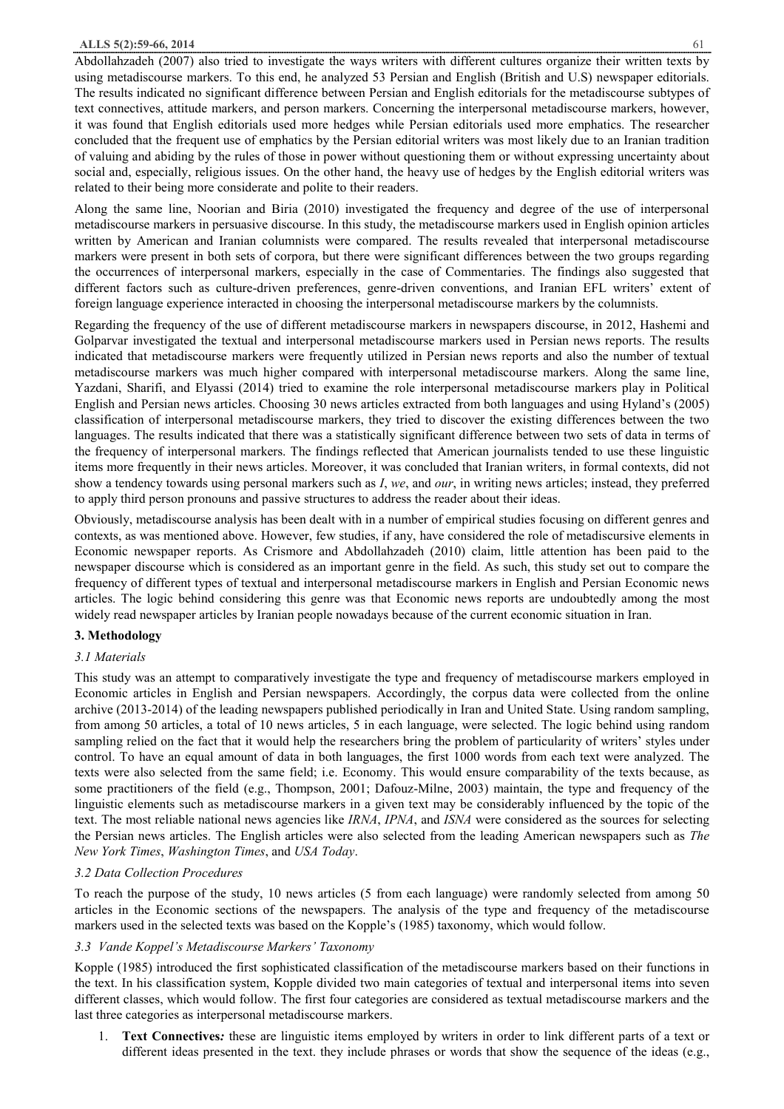Abdollahzadeh (2007) also tried to investigate the ways writers with different cultures organize their written texts by using metadiscourse markers. To this end, he analyzed 53 Persian and English (British and U.S) newspaper editorials. The results indicated no significant difference between Persian and English editorials for the metadiscourse subtypes of text connectives, attitude markers, and person markers. Concerning the interpersonal metadiscourse markers, however, it was found that English editorials used more hedges while Persian editorials used more emphatics. The researcher concluded that the frequent use of emphatics by the Persian editorial writers was most likely due to an Iranian tradition of valuing and abiding by the rules of those in power without questioning them or without expressing uncertainty about social and, especially, religious issues. On the other hand, the heavy use of hedges by the English editorial writers was related to their being more considerate and polite to their readers.

Along the same line, Noorian and Biria (2010) investigated the frequency and degree of the use of interpersonal metadiscourse markers in persuasive discourse. In this study, the metadiscourse markers used in English opinion articles written by American and Iranian columnists were compared. The results revealed that interpersonal metadiscourse markers were present in both sets of corpora, but there were significant differences between the two groups regarding the occurrences of interpersonal markers, especially in the case of Commentaries. The findings also suggested that different factors such as culture-driven preferences, genre-driven conventions, and Iranian EFL writers' extent of foreign language experience interacted in choosing the interpersonal metadiscourse markers by the columnists.

Regarding the frequency of the use of different metadiscourse markers in newspapers discourse, in 2012, Hashemi and Golparvar investigated the textual and interpersonal metadiscourse markers used in Persian news reports. The results indicated that metadiscourse markers were frequently utilized in Persian news reports and also the number of textual metadiscourse markers was much higher compared with interpersonal metadiscourse markers. Along the same line, Yazdani, Sharifi, and Elyassi (2014) tried to examine the role interpersonal metadiscourse markers play in Political English and Persian news articles. Choosing 30 news articles extracted from both languages and using Hyland's (2005) classification of interpersonal metadiscourse markers, they tried to discover the existing differences between the two languages. The results indicated that there was a statistically significant difference between two sets of data in terms of the frequency of interpersonal markers. The findings reflected that American journalists tended to use these linguistic items more frequently in their news articles. Moreover, it was concluded that Iranian writers, in formal contexts, did not show a tendency towards using personal markers such as *I*, *we*, and *our*, in writing news articles; instead, they preferred to apply third person pronouns and passive structures to address the reader about their ideas.

Obviously, metadiscourse analysis has been dealt with in a number of empirical studies focusing on different genres and contexts, as was mentioned above. However, few studies, if any, have considered the role of metadiscursive elements in Economic newspaper reports. As Crismore and Abdollahzadeh (2010) claim, little attention has been paid to the newspaper discourse which is considered as an important genre in the field. As such, this study set out to compare the frequency of different types of textual and interpersonal metadiscourse markers in English and Persian Economic news articles. The logic behind considering this genre was that Economic news reports are undoubtedly among the most widely read newspaper articles by Iranian people nowadays because of the current economic situation in Iran.

# **3. Methodology**

# *3.1 Materials*

This study was an attempt to comparatively investigate the type and frequency of metadiscourse markers employed in Economic articles in English and Persian newspapers. Accordingly, the corpus data were collected from the online archive (2013-2014) of the leading newspapers published periodically in Iran and United State. Using random sampling, from among 50 articles, a total of 10 news articles, 5 in each language, were selected. The logic behind using random sampling relied on the fact that it would help the researchers bring the problem of particularity of writers' styles under control. To have an equal amount of data in both languages, the first 1000 words from each text were analyzed. The texts were also selected from the same field; i.e. Economy. This would ensure comparability of the texts because, as some practitioners of the field (e.g., Thompson, 2001; Dafouz-Milne, 2003) maintain, the type and frequency of the linguistic elements such as metadiscourse markers in a given text may be considerably influenced by the topic of the text. The most reliable national news agencies like *IRNA*, *IPNA*, and *ISNA* were considered as the sources for selecting the Persian news articles. The English articles were also selected from the leading American newspapers such as *The New York Times*, *Washington Times*, and *USA Today*.

# *3.2 Data Collection Procedures*

To reach the purpose of the study, 10 news articles (5 from each language) were randomly selected from among 50 articles in the Economic sections of the newspapers. The analysis of the type and frequency of the metadiscourse markers used in the selected texts was based on the Kopple's (1985) taxonomy, which would follow.

# *3.3 Vande Koppel's Metadiscourse Markers' Taxonomy*

Kopple (1985) introduced the first sophisticated classification of the metadiscourse markers based on their functions in the text. In his classification system, Kopple divided two main categories of textual and interpersonal items into seven different classes, which would follow. The first four categories are considered as textual metadiscourse markers and the last three categories as interpersonal metadiscourse markers.

1. **Text Connectives***:* these are linguistic items employed by writers in order to link different parts of a text or different ideas presented in the text. they include phrases or words that show the sequence of the ideas (e.g.,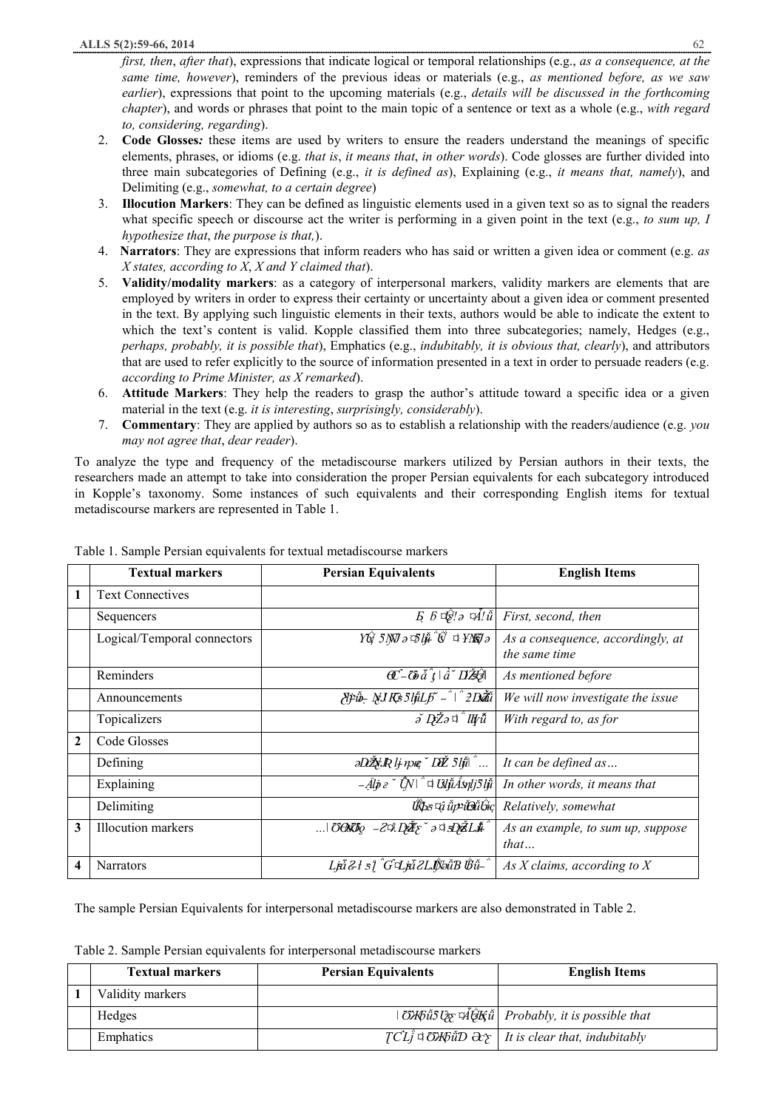*first, then*, *after that*), expressions that indicate logical or temporal relationships (e.g., *as a consequence, at the same time, however*), reminders of the previous ideas or materials (e.g., *as mentioned before, as we saw earlier*), expressions that point to the upcoming materials (e.g., *details will be discussed in the forthcoming chapter*), and words or phrases that point to the main topic of a sentence or text as a whole (e.g., *with regard to, considering, regarding*).

- 2. **Code Glosses***:* these items are used by writers to ensure the readers understand the meanings of specific elements, phrases, or idioms (e.g. *that is*, *it means that*, *in other words*). Code glosses are further divided into three main subcategories of Defining (e.g., *it is defined as*), Explaining (e.g., *it means that, namely*), and Delimiting (e.g., *somewhat, to a certain degree*)
- 3. **Illocution Markers**: They can be defined as linguistic elements used in a given text so as to signal the readers what specific speech or discourse act the writer is performing in a given point in the text (e.g., *to sum up, I hypothesize that*, *the purpose is that,*).
- 4. **Narrators**: They are expressions that inform readers who has said or written a given idea or comment (e.g. *as X states, according to X*, *X and Y claimed that*).
- 5. **Validity/modality markers**: as a category of interpersonal markers, validity markers are elements that are employed by writers in order to express their certainty or uncertainty about a given idea or comment presented in the text. By applying such linguistic elements in their texts, authors would be able to indicate the extent to which the text's content is valid. Kopple classified them into three subcategories; namely, Hedges (e.g., *perhaps, probably, it is possible that*), Emphatics (e.g., *indubitably, it is obvious that, clearly*), and attributors that are used to refer explicitly to the source of information presented in a text in order to persuade readers (e.g. *according to Prime Minister, as X remarked*).
- 6. **Attitude Markers**: They help the readers to grasp the author's attitude toward a specific idea or a given material in the text (e.g. *it is interesting*, *surprisingly, considerably*).
- 7. **Commentary**: They are applied by authors so as to establish a relationship with the readers/audience (e.g. *you may not agree that*, *dear reader*).

To analyze the type and frequency of the metadiscourse markers utilized by Persian authors in their texts, the researchers made an attempt to take into consideration the proper Persian equivalents for each subcategory introduced in Kopple's taxonomy. Some instances of such equivalents and their corresponding English items for textual metadiscourse markers are represented in Table 1.

|                | <b>Textual markers</b>      | <b>Persian Equivalents</b>                                                                                                                                                                                                                                                                         | <b>English Items</b>                               |
|----------------|-----------------------------|----------------------------------------------------------------------------------------------------------------------------------------------------------------------------------------------------------------------------------------------------------------------------------------------------|----------------------------------------------------|
| 1              | <b>Text Connectives</b>     |                                                                                                                                                                                                                                                                                                    |                                                    |
|                | Sequencers                  | $E \mathop{\not\!\! E} \nolimits$ $\mathop{\not\!\! E}\nolimits^*$                                                                                                                                                                                                                                 | First, second, then                                |
|                | Logical/Temporal connectors | YÜ 5NN ə 51µ Ü ¤ YNU ə                                                                                                                                                                                                                                                                             | As a consequence, accordingly, at<br>the same time |
|                | Reminders                   | $\overline{C}$ - $\overline{C}$ $\overline{a}$ $\overline{i}$ $ \overrightarrow{a}$ $\overline{D}$ $\overline{Z}$ $\overline{C}$                                                                                                                                                                   | As mentioned before                                |
|                | Announcements               | $\partial f$ pib $\partial f$ J Rz 5 ljúL $\beta$ – $\frac{1}{2}$ Dáti                                                                                                                                                                                                                             | We will now investigate the issue                  |
|                | Topicalizers                | $\delta$ DZ $\delta$ <sup>+</sup> Uv $\tilde{u}$                                                                                                                                                                                                                                                   | With regard to, as for                             |
| $\overline{2}$ | Code Glosses                |                                                                                                                                                                                                                                                                                                    |                                                    |
|                | Defining                    |                                                                                                                                                                                                                                                                                                    | It can be defined as                               |
|                | Explaining                  | $\overline{-A}l\dot{\phi}e^{\checkmark}$ $\overline{\check{C}}N$ $\overset{\circ}{\circ}$ $\overline{C}$ $\overset{\circ}{\mathcal{U}}$ $\overset{\circ}{\mathcal{U}}$ $\overset{\circ}{\mathcal{U}}$ $\overset{\circ}{\mathcal{U}}$ $\overset{\circ}{\mathcal{U}}$ $\overset{\circ}{\mathcal{U}}$ | In other words, it means that                      |
|                | Delimiting                  | UO5 ¤û ŭp≥ŭĐŭĜkç                                                                                                                                                                                                                                                                                   | Relatively, somewhat                               |
| 3              | <b>Illocution</b> markers   | $\ldots$   OGNOO -29. DZE odsDZLI                                                                                                                                                                                                                                                                  | As an example, to sum up, suppose<br>that          |
| 4              | <b>Narrators</b>            | Lja 2 l s   "Gʻi Lja 2LJNəŭB Üvü-                                                                                                                                                                                                                                                                  | As X claims, according to $X$                      |

Table 1. Sample Persian equivalents for textual metadiscourse markers

The sample Persian Equivalents for interpersonal metadiscourse markers are also demonstrated in Table 2.

Table 2. Sample Persian equivalents for interpersonal metadiscourse markers

| <b>Textual markers</b> | <b>Persian Equivalents</b> | <b>English Items</b>                                                                                                                                                   |
|------------------------|----------------------------|------------------------------------------------------------------------------------------------------------------------------------------------------------------------|
| Validity markers       |                            |                                                                                                                                                                        |
| Hedges                 |                            | $\vert \partial \mathcal{H} \partial \tilde{u} \partial \partial \tilde{g} \nabla \tilde{d} \tilde{d}$ $\mathcal{H}$ $\tilde{u}$ $\vert$ Probably, it is possible that |
| Emphatics              |                            | $TCL^{\dagger}$ a $\ddot{\sigma}$ <i>H</i> $\ddot{\sigma}$ <i>D</i> $\partial \mathcal{E}$   It is clear that, indubitably                                             |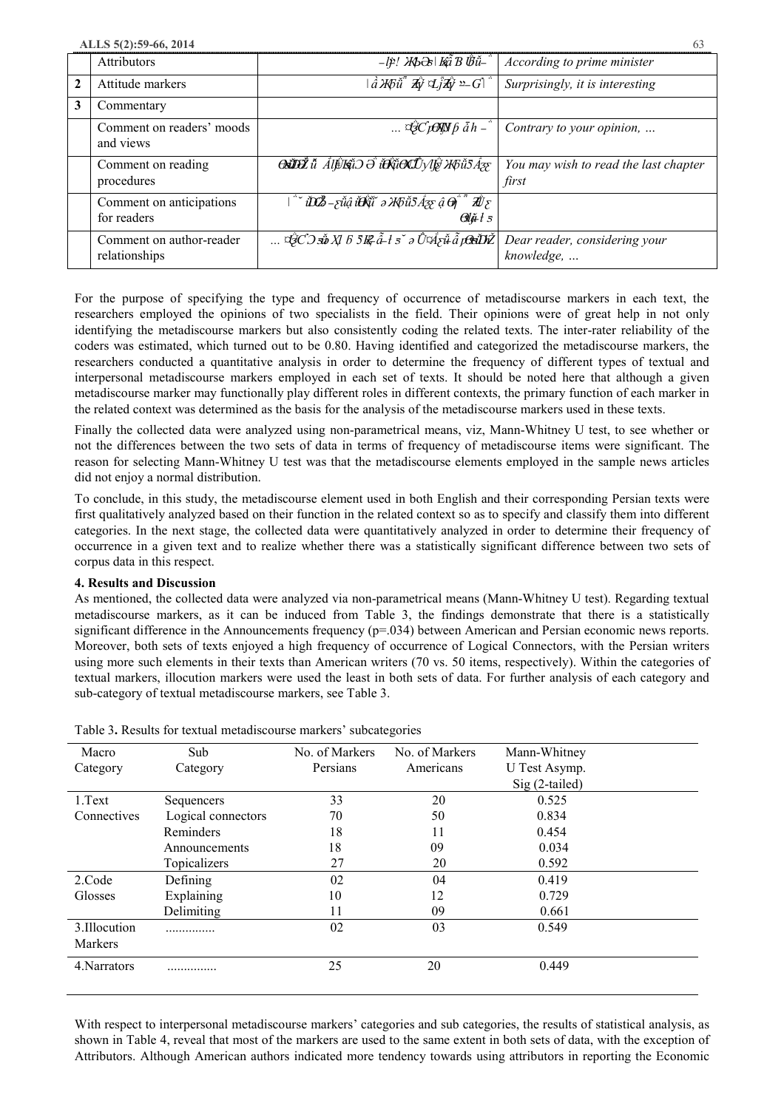**ALLS 5(2):59-66, 2014** 63

|              | Attributors                               | -lp! ЖЬӘэ   Kấ B Üǘ-"                                                                                                                                                                            | According to prime minister                    |
|--------------|-------------------------------------------|--------------------------------------------------------------------------------------------------------------------------------------------------------------------------------------------------|------------------------------------------------|
| $\mathbf{2}$ | Attitude markers                          | $\mid \hat{a} \mathcal{H}$ t $\tilde{u}^{\dagger} \mathcal{H}$ y $\mathcal{I} \tilde{f} \mathcal{H}$ y $^{\circ} \mathcal{G} \mid \tilde{f}$                                                     | Surprisingly, it is interesting                |
| 3            | Commentary                                |                                                                                                                                                                                                  |                                                |
|              | Comment on readers' moods<br>and views    | $\ldots$ $\partial^2_C \rho \partial \bar{y}$ $\bar{y}$ $\bar{b}$ $\bar{a}$ $\bar{h}$ $\bar{b}$                                                                                                  | Contrary to your opinion,                      |
|              | Comment on reading<br>procedures          | <b>OSIDŽ</b> ŭ <i>ÅlÊIS</i> IO Ə i <del>O</del> XIOLIVIE K5 IS A3S                                                                                                                               | You may wish to read the last chapter<br>first |
|              | Comment on anticipations<br>for readers   | $\sim$ iDZ - züâ iĐữ ə XGü5 $\AA$ zy â $\Theta$ $\tilde{d}$ $\vec{A}$ z<br>$\partial \widetilde{\mu} t$ 5                                                                                        |                                                |
|              | Comment on author-reader<br>relationships | $\ldots \nabla \hat{G} \nabla \nabla \vec{B} \times \nabla B \nabla B \cdot \hat{a} + s \nabla \partial \hat{U} \nabla \hat{A} \nabla \tilde{a} \cdot \hat{B} \nabla \tilde{B} \nabla \tilde{B}$ | Dear reader, considering your<br>knowledge,    |

For the purpose of specifying the type and frequency of occurrence of metadiscourse markers in each text, the researchers employed the opinions of two specialists in the field. Their opinions were of great help in not only identifying the metadiscourse markers but also consistently coding the related texts. The inter-rater reliability of the coders was estimated, which turned out to be 0.80. Having identified and categorized the metadiscourse markers, the researchers conducted a quantitative analysis in order to determine the frequency of different types of textual and interpersonal metadiscourse markers employed in each set of texts. It should be noted here that although a given metadiscourse marker may functionally play different roles in different contexts, the primary function of each marker in the related context was determined as the basis for the analysis of the metadiscourse markers used in these texts.

Finally the collected data were analyzed using non-parametrical means, viz, Mann-Whitney U test, to see whether or not the differences between the two sets of data in terms of frequency of metadiscourse items were significant. The reason for selecting Mann-Whitney U test was that the metadiscourse elements employed in the sample news articles did not enjoy a normal distribution.

To conclude, in this study, the metadiscourse element used in both English and their corresponding Persian texts were first qualitatively analyzed based on their function in the related context so as to specify and classify them into different categories. In the next stage, the collected data were quantitatively analyzed in order to determine their frequency of occurrence in a given text and to realize whether there was a statistically significant difference between two sets of corpus data in this respect.

#### **4. Results and Discussion**

As mentioned, the collected data were analyzed via non-parametrical means (Mann-Whitney U test). Regarding textual metadiscourse markers, as it can be induced from Table 3, the findings demonstrate that there is a statistically significant difference in the Announcements frequency (p=.034) between American and Persian economic news reports. Moreover, both sets of texts enjoyed a high frequency of occurrence of Logical Connectors, with the Persian writers using more such elements in their texts than American writers (70 vs. 50 items, respectively). Within the categories of textual markers, illocution markers were used the least in both sets of data. For further analysis of each category and sub-category of textual metadiscourse markers, see Table 3.

|                | , resource for estimate the against and a mattern calculation<br>Sub<br>No. of Markers<br>No. of Markers<br>Mann-Whitney |          |           |                |  |
|----------------|--------------------------------------------------------------------------------------------------------------------------|----------|-----------|----------------|--|
| Macro          |                                                                                                                          |          |           |                |  |
| Category       | Category                                                                                                                 | Persians | Americans | U Test Asymp.  |  |
|                |                                                                                                                          |          |           | Sig (2-tailed) |  |
| 1.Text         | Sequencers                                                                                                               | 33       | 20        | 0.525          |  |
| Connectives    | Logical connectors                                                                                                       | 70       | 50        | 0.834          |  |
|                | Reminders                                                                                                                | 18       | 11        | 0.454          |  |
|                | Announcements                                                                                                            | 18       | 09        | 0.034          |  |
|                | Topicalizers                                                                                                             | 27       | 20        | 0.592          |  |
| 2.Code         | Defining                                                                                                                 | 02       | 04        | 0.419          |  |
| Glosses        | Explaining                                                                                                               | 10       | 12        | 0.729          |  |
|                | Delimiting                                                                                                               | 11       | 09        | 0.661          |  |
| 3. Illocution  | . <b>.</b>                                                                                                               | 02       | 03        | 0.549          |  |
| <b>Markers</b> |                                                                                                                          |          |           |                |  |
| 4. Narrators   |                                                                                                                          | 25       | 20        | 0.449          |  |
|                |                                                                                                                          |          |           |                |  |

Table 3**.** Results for textual metadiscourse markers' subcategories

With respect to interpersonal metadiscourse markers' categories and sub categories, the results of statistical analysis, as shown in Table 4, reveal that most of the markers are used to the same extent in both sets of data, with the exception of Attributors. Although American authors indicated more tendency towards using attributors in reporting the Economic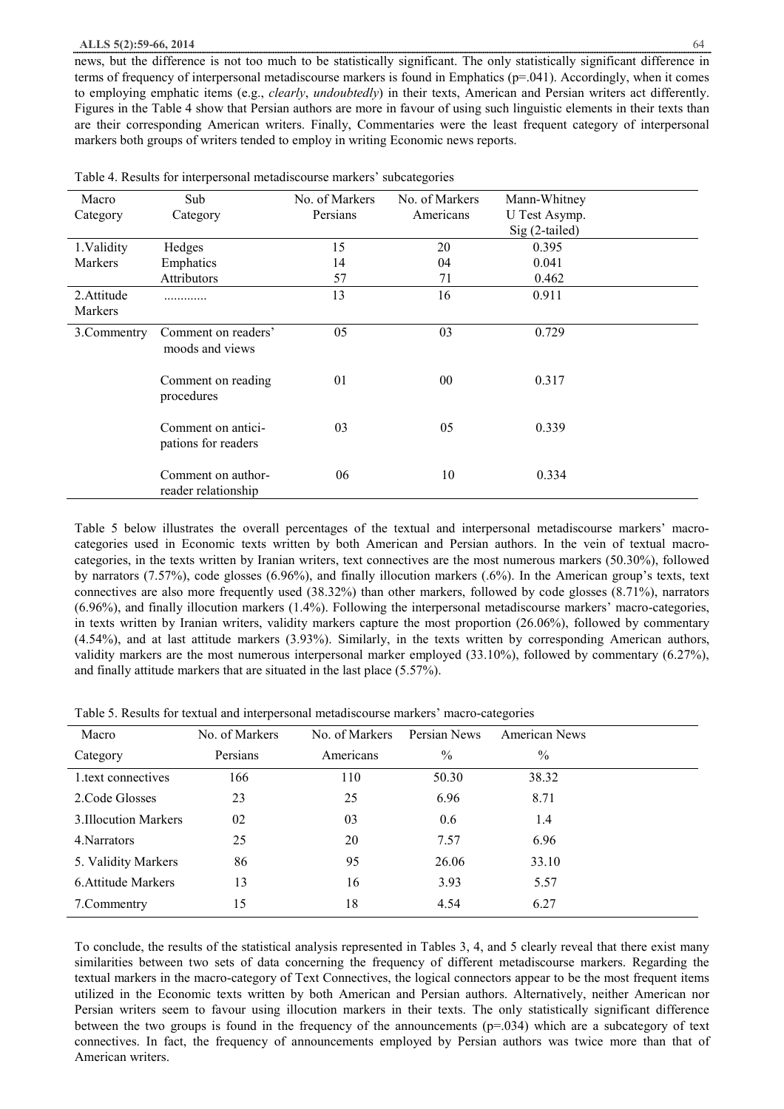#### **ALLS 5(2):59-66, 2014** 64

news, but the difference is not too much to be statistically significant. The only statistically significant difference in terms of frequency of interpersonal metadiscourse markers is found in Emphatics (p=.041). Accordingly, when it comes to employing emphatic items (e.g., *clearly*, *undoubtedly*) in their texts, American and Persian writers act differently. Figures in the Table 4 show that Persian authors are more in favour of using such linguistic elements in their texts than are their corresponding American writers. Finally, Commentaries were the least frequent category of interpersonal markers both groups of writers tended to employ in writing Economic news reports.

Table 4. Results for interpersonal metadiscourse markers' subcategories

Table 5 below illustrates the overall percentages of the textual and interpersonal metadiscourse markers' macrocategories used in Economic texts written by both American and Persian authors. In the vein of textual macrocategories, in the texts written by Iranian writers, text connectives are the most numerous markers (50.30%), followed by narrators (7.57%), code glosses (6.96%), and finally illocution markers (.6%). In the American group's texts, text connectives are also more frequently used (38.32%) than other markers, followed by code glosses (8.71%), narrators (6.96%), and finally illocution markers (1.4%). Following the interpersonal metadiscourse markers' macro-categories, in texts written by Iranian writers, validity markers capture the most proportion (26.06%), followed by commentary (4.54%), and at last attitude markers (3.93%). Similarly, in the texts written by corresponding American authors, validity markers are the most numerous interpersonal marker employed (33.10%), followed by commentary (6.27%), and finally attitude markers that are situated in the last place (5.57%).

Table 5. Results for textual and interpersonal metadiscourse markers' macro-categories

| Macro                 | No. of Markers | No. of Markers | Persian News  | <b>American News</b> |  |
|-----------------------|----------------|----------------|---------------|----------------------|--|
| Category              | Persians       | Americans      | $\frac{0}{0}$ | $\frac{0}{0}$        |  |
| 1. text connectives   | 166            | 110            | 50.30         | 38.32                |  |
| 2. Code Glosses       | 23             | 25             | 6.96          | 8.71                 |  |
| 3. Illocution Markers | 02             | 03             | 0.6           | 1.4                  |  |
| 4. Narrators          | 25             | 20             | 7.57          | 6.96                 |  |
| 5. Validity Markers   | 86             | 95             | 26.06         | 33.10                |  |
| 6. Attitude Markers   | 13             | 16             | 3.93          | 5.57                 |  |
| 7. Commentry          | 15             | 18             | 4.54          | 6.27                 |  |

To conclude, the results of the statistical analysis represented in Tables 3, 4, and 5 clearly reveal that there exist many similarities between two sets of data concerning the frequency of different metadiscourse markers. Regarding the textual markers in the macro-category of Text Connectives, the logical connectors appear to be the most frequent items utilized in the Economic texts written by both American and Persian authors. Alternatively, neither American nor Persian writers seem to favour using illocution markers in their texts. The only statistically significant difference between the two groups is found in the frequency of the announcements (p=.034) which are a subcategory of text connectives. In fact, the frequency of announcements employed by Persian authors was twice more than that of American writers.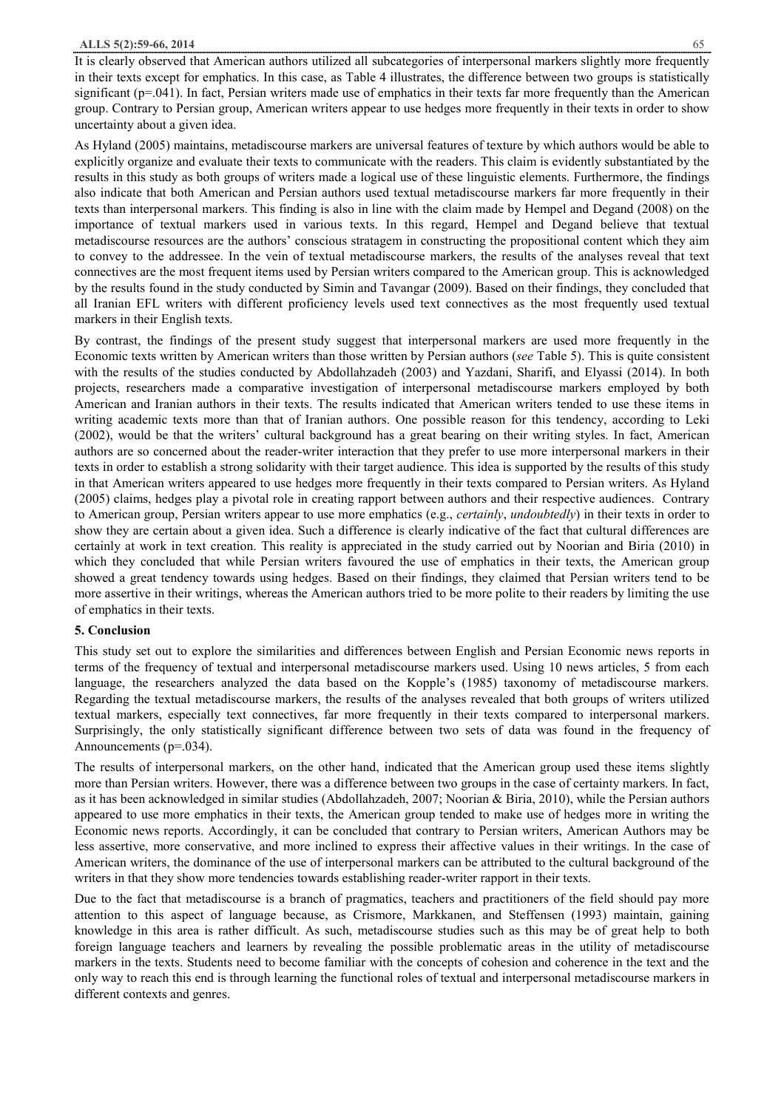It is clearly observed that American authors utilized all subcategories of interpersonal markers slightly more frequently in their texts except for emphatics. In this case, as Table 4 illustrates, the difference between two groups is statistically significant (p=.041). In fact, Persian writers made use of emphatics in their texts far more frequently than the American group. Contrary to Persian group, American writers appear to use hedges more frequently in their texts in order to show uncertainty about a given idea.

As Hyland (2005) maintains, metadiscourse markers are universal features of texture by which authors would be able to explicitly organize and evaluate their texts to communicate with the readers. This claim is evidently substantiated by the results in this study as both groups of writers made a logical use of these linguistic elements. Furthermore, the findings also indicate that both American and Persian authors used textual metadiscourse markers far more frequently in their texts than interpersonal markers. This finding is also in line with the claim made by Hempel and Degand (2008) on the importance of textual markers used in various texts. In this regard, Hempel and Degand believe that textual metadiscourse resources are the authors' conscious stratagem in constructing the propositional content which they aim to convey to the addressee. In the vein of textual metadiscourse markers, the results of the analyses reveal that text connectives are the most frequent items used by Persian writers compared to the American group. This is acknowledged by the results found in the study conducted by Simin and Tavangar (2009). Based on their findings, they concluded that all Iranian EFL writers with different proficiency levels used text connectives as the most frequently used textual markers in their English texts.

By contrast, the findings of the present study suggest that interpersonal markers are used more frequently in the Economic texts written by American writers than those written by Persian authors (*see* Table 5). This is quite consistent with the results of the studies conducted by Abdollahzadeh (2003) and Yazdani, Sharifi, and Elyassi (2014). In both projects, researchers made a comparative investigation of interpersonal metadiscourse markers employed by both American and Iranian authors in their texts. The results indicated that American writers tended to use these items in writing academic texts more than that of Iranian authors. One possible reason for this tendency, according to Leki (2002), would be that the writers' cultural background has a great bearing on their writing styles. In fact, American authors are so concerned about the reader-writer interaction that they prefer to use more interpersonal markers in their texts in order to establish a strong solidarity with their target audience. This idea is supported by the results of this study in that American writers appeared to use hedges more frequently in their texts compared to Persian writers. As Hyland (2005) claims, hedges play a pivotal role in creating rapport between authors and their respective audiences. Contrary to American group, Persian writers appear to use more emphatics (e.g., *certainly*, *undoubtedly*) in their texts in order to show they are certain about a given idea. Such a difference is clearly indicative of the fact that cultural differences are certainly at work in text creation. This reality is appreciated in the study carried out by Noorian and Biria (2010) in which they concluded that while Persian writers favoured the use of emphatics in their texts, the American group showed a great tendency towards using hedges. Based on their findings, they claimed that Persian writers tend to be more assertive in their writings, whereas the American authors tried to be more polite to their readers by limiting the use of emphatics in their texts.

#### **5. Conclusion**

This study set out to explore the similarities and differences between English and Persian Economic news reports in terms of the frequency of textual and interpersonal metadiscourse markers used. Using 10 news articles, 5 from each language, the researchers analyzed the data based on the Kopple's (1985) taxonomy of metadiscourse markers. Regarding the textual metadiscourse markers, the results of the analyses revealed that both groups of writers utilized textual markers, especially text connectives, far more frequently in their texts compared to interpersonal markers. Surprisingly, the only statistically significant difference between two sets of data was found in the frequency of Announcements (p=.034).

The results of interpersonal markers, on the other hand, indicated that the American group used these items slightly more than Persian writers. However, there was a difference between two groups in the case of certainty markers. In fact, as it has been acknowledged in similar studies (Abdollahzadeh, 2007; Noorian & Biria, 2010), while the Persian authors appeared to use more emphatics in their texts, the American group tended to make use of hedges more in writing the Economic news reports. Accordingly, it can be concluded that contrary to Persian writers, American Authors may be less assertive, more conservative, and more inclined to express their affective values in their writings. In the case of American writers, the dominance of the use of interpersonal markers can be attributed to the cultural background of the writers in that they show more tendencies towards establishing reader-writer rapport in their texts.

Due to the fact that metadiscourse is a branch of pragmatics, teachers and practitioners of the field should pay more attention to this aspect of language because, as Crismore, Markkanen, and Steffensen (1993) maintain, gaining knowledge in this area is rather difficult. As such, metadiscourse studies such as this may be of great help to both foreign language teachers and learners by revealing the possible problematic areas in the utility of metadiscourse markers in the texts. Students need to become familiar with the concepts of cohesion and coherence in the text and the only way to reach this end is through learning the functional roles of textual and interpersonal metadiscourse markers in different contexts and genres.